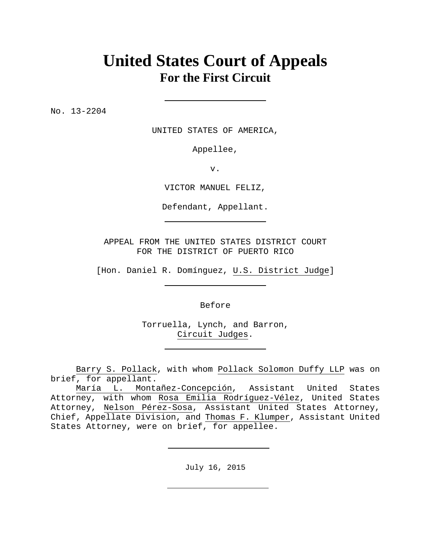# **United States Court of Appeals For the First Circuit**

No. 13-2204

UNITED STATES OF AMERICA,

Appellee,

v.

VICTOR MANUEL FELIZ,

Defendant, Appellant.

APPEAL FROM THE UNITED STATES DISTRICT COURT FOR THE DISTRICT OF PUERTO RICO

[Hon. Daniel R. Domínguez, U.S. District Judge]

Before

Torruella, Lynch, and Barron, Circuit Judges.

Barry S. Pollack, with whom Pollack Solomon Duffy LLP was on brief, for appellant.

July 16, 2015

María L. Montañez-Concepción, Assistant United States Attorney, with whom Rosa Emilia Rodríguez-Vélez, United States Attorney, Nelson Pérez-Sosa, Assistant United States Attorney, Chief, Appellate Division, and Thomas F. Klumper, Assistant United States Attorney, were on brief, for appellee.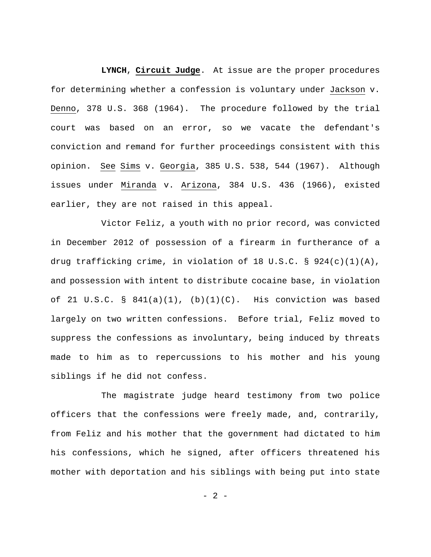**LYNCH**, **Circuit Judge**. At issue are the proper procedures for determining whether a confession is voluntary under Jackson v. Denno, 378 U.S. 368 (1964). The procedure followed by the trial court was based on an error, so we vacate the defendant's conviction and remand for further proceedings consistent with this opinion. See Sims v. Georgia, 385 U.S. 538, 544 (1967). Although issues under Miranda v. Arizona, 384 U.S. 436 (1966), existed earlier, they are not raised in this appeal.

Victor Feliz, a youth with no prior record, was convicted in December 2012 of possession of a firearm in furtherance of a drug trafficking crime, in violation of 18 U.S.C.  $\S$  924(c)(1)(A), and possession with intent to distribute cocaine base, in violation of 21 U.S.C. §  $841(a)(1)$ , (b)(1)(C). His conviction was based largely on two written confessions. Before trial, Feliz moved to suppress the confessions as involuntary, being induced by threats made to him as to repercussions to his mother and his young siblings if he did not confess.

The magistrate judge heard testimony from two police officers that the confessions were freely made, and, contrarily, from Feliz and his mother that the government had dictated to him his confessions, which he signed, after officers threatened his mother with deportation and his siblings with being put into state

 $- 2 -$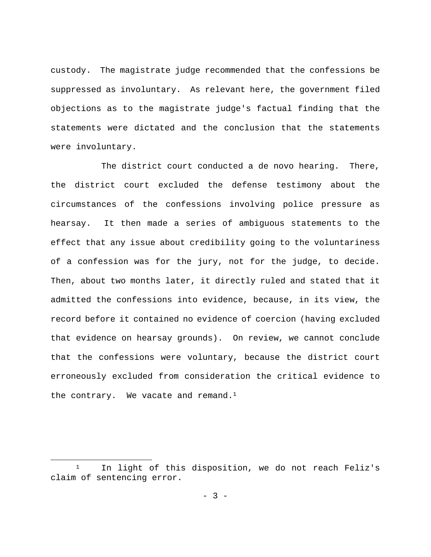custody. The magistrate judge recommended that the confessions be suppressed as involuntary. As relevant here, the government filed objections as to the magistrate judge's factual finding that the statements were dictated and the conclusion that the statements were involuntary.

The district court conducted a de novo hearing. There, the district court excluded the defense testimony about the circumstances of the confessions involving police pressure as hearsay. It then made a series of ambiguous statements to the effect that any issue about credibility going to the voluntariness of a confession was for the jury, not for the judge, to decide. Then, about two months later, it directly ruled and stated that it admitted the confessions into evidence, because, in its view, the record before it contained no evidence of coercion (having excluded that evidence on hearsay grounds). On review, we cannot conclude that the confessions were voluntary, because the district court erroneously excluded from consideration the critical evidence to the contrary. We vacate and remand. $1$ 

<sup>&</sup>lt;sup>1</sup> In light of this disposition, we do not reach Feliz's claim of sentencing error.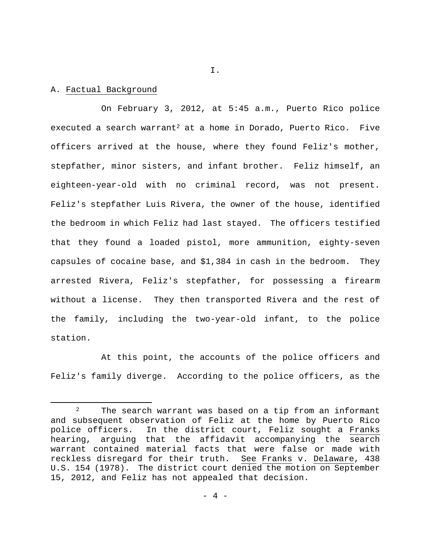#### A. Factual Background

On February 3, 2012, at 5:45 a.m., Puerto Rico police executed a search warrant2 at a home in Dorado, Puerto Rico.Five officers arrived at the house, where they found Feliz's mother, stepfather, minor sisters, and infant brother. Feliz himself, an eighteen-year-old with no criminal record, was not present. Feliz's stepfather Luis Rivera, the owner of the house, identified the bedroom in which Feliz had last stayed.The officers testified that they found a loaded pistol, more ammunition, eighty-seven capsules of cocaine base, and \$1,384 in cash in the bedroom.They arrested Rivera, Feliz's stepfather, for possessing a firearm without a license. They then transported Rivera and the rest of the family, including the two-year-old infant, to the police station.

At this point, the accounts of the police officers and Feliz's family diverge. According to the police officers, as the

I.

<sup>&</sup>lt;sup>2</sup> The search warrant was based on a tip from an informant and subsequent observation of Feliz at the home by Puerto Rico police officers. In the district court, Feliz sought a Franks hearing, arguing that the affidavit accompanying the search warrant contained material facts that were false or made with reckless disregard for their truth. See Franks v. Delaware, 438 U.S. 154 (1978). The district court denied the motion on September 15, 2012, and Feliz has not appealed that decision.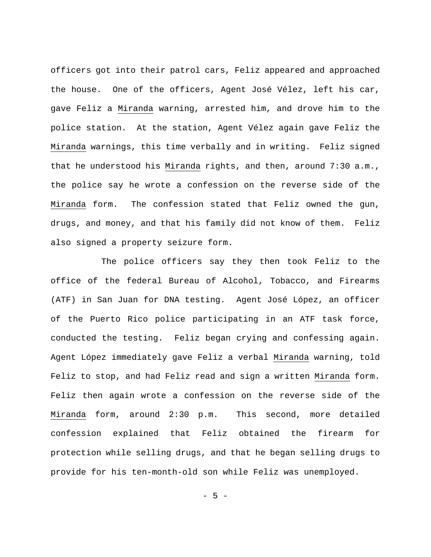officers got into their patrol cars, Feliz appeared and approached the house. One of the officers, Agent José Vélez, left his car, gave Feliz a Miranda warning, arrested him, and drove him to the police station.At the station, Agent Vélez again gave Feliz the Miranda warnings, this time verbally and in writing. Feliz signed that he understood his Miranda rights, and then, around 7:30 a.m., the police say he wrote a confession on the reverse side of the Miranda form. The confession stated that Feliz owned the gun, drugs, and money, and that his family did not know of them.Feliz also signed a property seizure form.

The police officers say they then took Feliz to the office of the federal Bureau of Alcohol, Tobacco, and Firearms (ATF) in San Juan for DNA testing. Agent José López, an officer of the Puerto Rico police participating in an ATF task force, conducted the testing. Feliz began crying and confessing again. Agent López immediately gave Feliz a verbal Miranda warning, told Feliz to stop, and had Feliz read and sign a written Miranda form. Feliz then again wrote a confession on the reverse side of the Miranda form, around 2:30 p.m. This second, more detailed confession explained that Feliz obtained the firearm for protection while selling drugs, and that he began selling drugs to provide for his ten-month-old son while Feliz was unemployed.

- 5 -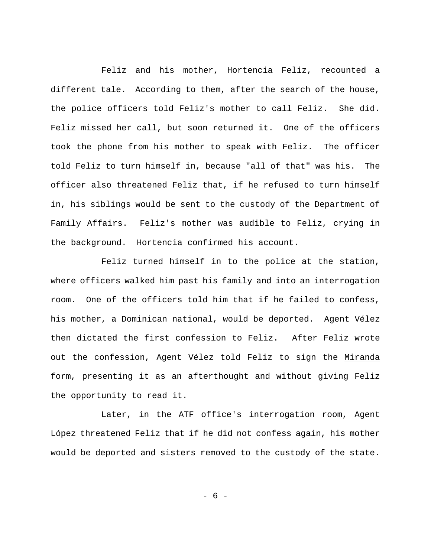Feliz and his mother, Hortencia Feliz, recounted a different tale. According to them, after the search of the house, the police officers told Feliz's mother to call Feliz. She did. Feliz missed her call, but soon returned it. One of the officers took the phone from his mother to speak with Feliz.The officer told Feliz to turn himself in, because "all of that" was his. The officer also threatened Feliz that, if he refused to turn himself in, his siblings would be sent to the custody of the Department of Family Affairs.Feliz's mother was audible to Feliz, crying in the background.Hortencia confirmed his account.

Feliz turned himself in to the police at the station, where officers walked him past his family and into an interrogation room. One of the officers told him that if he failed to confess, his mother, a Dominican national, would be deported.Agent Vélez then dictated the first confession to Feliz.After Feliz wrote out the confession, Agent Vélez told Feliz to sign the Miranda form, presenting it as an afterthought and without giving Feliz the opportunity to read it.

Later, in the ATF office's interrogation room, Agent López threatened Feliz that if he did not confess again, his mother would be deported and sisters removed to the custody of the state.

- 6 -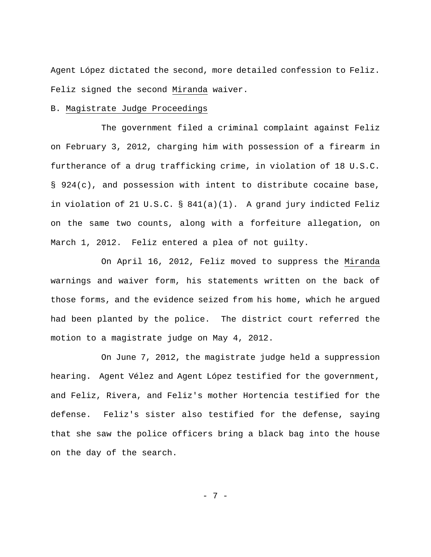Agent López dictated the second, more detailed confession to Feliz. Feliz signed the second Miranda waiver.

#### B. Magistrate Judge Proceedings

The government filed a criminal complaint against Feliz on February 3, 2012, charging him with possession of a firearm in furtherance of a drug trafficking crime, in violation of 18 U.S.C. § 924(c), and possession with intent to distribute cocaine base, in violation of 21 U.S.C. § 841(a)(1). A grand jury indicted Feliz on the same two counts, along with a forfeiture allegation, on March 1, 2012.Feliz entered a plea of not guilty.

On April 16, 2012, Feliz moved to suppress the Miranda warnings and waiver form, his statements written on the back of those forms, and the evidence seized from his home, which he argued had been planted by the police.The district court referred the motion to a magistrate judge on May 4, 2012.

On June 7, 2012, the magistrate judge held a suppression hearing. Agent Vélez and Agent López testified for the government, and Feliz, Rivera, and Feliz's mother Hortencia testified for the defense.Feliz's sister also testified for the defense, saying that she saw the police officers bring a black bag into the house on the day of the search.

- 7 -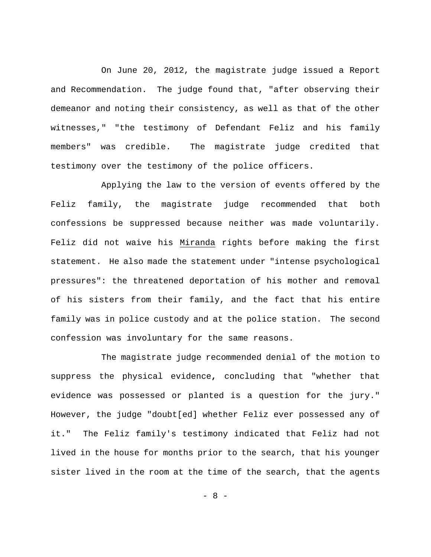On June 20, 2012, the magistrate judge issued a Report and Recommendation. The judge found that, "after observing their demeanor and noting their consistency, as well as that of the other witnesses," "the testimony of Defendant Feliz and his family members" was credible. The magistrate judge credited that testimony over the testimony of the police officers.

Applying the law to the version of events offered by the Feliz family, the magistrate judge recommended that both confessions be suppressed because neither was made voluntarily. Feliz did not waive his Miranda rights before making the first statement. He also made the statement under "intense psychological pressures": the threatened deportation of his mother and removal of his sisters from their family, and the fact that his entire family was in police custody and at the police station. The second confession was involuntary for the same reasons.

The magistrate judge recommended denial of the motion to suppress the physical evidence**,** concluding that "whether that evidence was possessed or planted is a question for the jury." However, the judge "doubt[ed] whether Feliz ever possessed any of it." The Feliz family's testimony indicated that Feliz had not lived in the house for months prior to the search, that his younger sister lived in the room at the time of the search, that the agents

- 8 -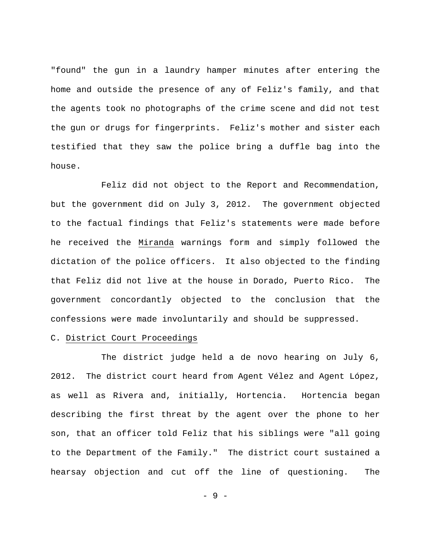"found" the gun in a laundry hamper minutes after entering the home and outside the presence of any of Feliz's family, and that the agents took no photographs of the crime scene and did not test the gun or drugs for fingerprints. Feliz's mother and sister each testified that they saw the police bring a duffle bag into the house.

Feliz did not object to the Report and Recommendation, but the government did on July 3, 2012.The government objected to the factual findings that Feliz's statements were made before he received the Miranda warnings form and simply followed the dictation of the police officers. It also objected to the finding that Feliz did not live at the house in Dorado, Puerto Rico.The government concordantly objected to the conclusion that the confessions were made involuntarily and should be suppressed.

### C. District Court Proceedings

The district judge held a de novo hearing on July 6, 2012. The district court heard from Agent Vélez and Agent López, as well as Rivera and, initially, Hortencia. Hortencia began describing the first threat by the agent over the phone to her son, that an officer told Feliz that his siblings were "all going to the Department of the Family." The district court sustained a hearsay objection and cut off the line of questioning. The

- 9 -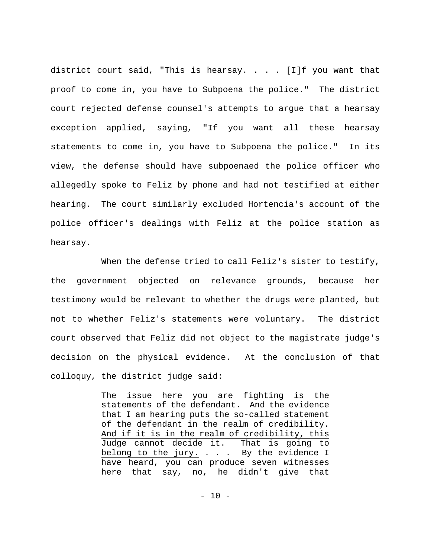district court said, "This is hearsay. . . . [I]f you want that proof to come in, you have to Subpoena the police."The district court rejected defense counsel's attempts to argue that a hearsay exception applied, saying, "If you want all these hearsay statements to come in, you have to Subpoena the police." In its view, the defense should have subpoenaed the police officer who allegedly spoke to Feliz by phone and had not testified at either hearing. The court similarly excluded Hortencia's account of the police officer's dealings with Feliz at the police station as hearsay.

When the defense tried to call Feliz's sister to testify, the government objected on relevance grounds, because her testimony would be relevant to whether the drugs were planted, but not to whether Feliz's statements were voluntary. The district court observed that Feliz did not object to the magistrate judge's decision on the physical evidence. At the conclusion of that colloquy, the district judge said:

> The issue here you are fighting is the statements of the defendant. And the evidence that I am hearing puts the so-called statement of the defendant in the realm of credibility. And if it is in the realm of credibility, this Judge cannot decide it. That is going to belong to the jury. . . . By the evidence I have heard, you can produce seven witnesses here that say, no, he didn't give that

> > - 10 -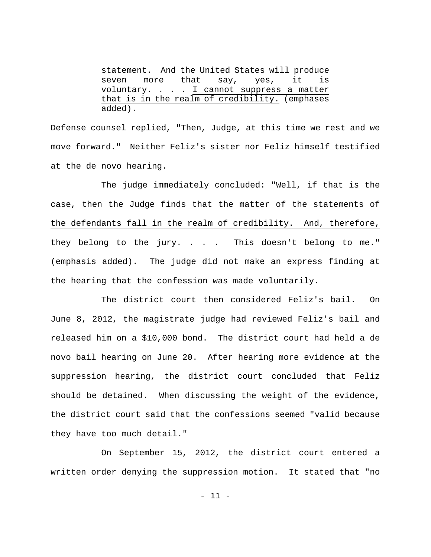statement. And the United States will produce seven more that say, yes, it is voluntary. . . . I cannot suppress a matter that is in the realm of credibility. (emphases added).

Defense counsel replied, "Then, Judge, at this time we rest and we move forward." Neither Feliz's sister nor Feliz himself testified at the de novo hearing.

The judge immediately concluded: "Well, if that is the case, then the Judge finds that the matter of the statements of the defendants fall in the realm of credibility. And, therefore, they belong to the jury. . . . This doesn't belong to me." (emphasis added).The judge did not make an express finding at the hearing that the confession was made voluntarily.

The district court then considered Feliz's bail. On June 8, 2012, the magistrate judge had reviewed Feliz's bail and released him on a \$10,000 bond. The district court had held a de novo bail hearing on June 20.After hearing more evidence at the suppression hearing, the district court concluded that Feliz should be detained. When discussing the weight of the evidence, the district court said that the confessions seemed "valid because they have too much detail."

On September 15, 2012, the district court entered a written order denying the suppression motion. It stated that "no

 $-11 -$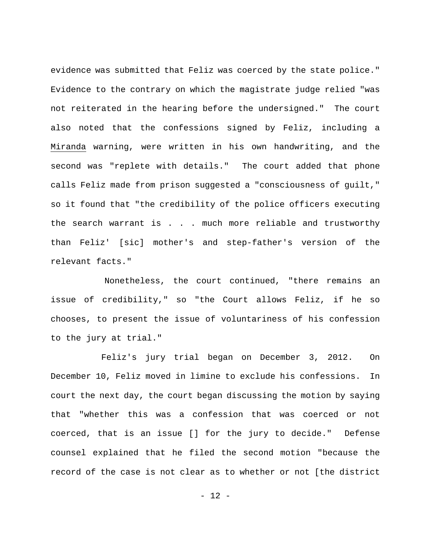evidence was submitted that Feliz was coerced by the state police." Evidence to the contrary on which the magistrate judge relied "was not reiterated in the hearing before the undersigned."The court also noted that the confessions signed by Feliz, including a Miranda warning, were written in his own handwriting, and the second was "replete with details."The court added that phone calls Feliz made from prison suggested a "consciousness of guilt," so it found that "the credibility of the police officers executing the search warrant is . . . much more reliable and trustworthy than Feliz' [sic] mother's and step-father's version of the relevant facts."

Nonetheless, the court continued, "there remains an issue of credibility," so "the Court allows Feliz, if he so chooses, to present the issue of voluntariness of his confession to the jury at trial."

Feliz's jury trial began on December 3, 2012. On December 10, Feliz moved in limine to exclude his confessions. In court the next day, the court began discussing the motion by saying that "whether this was a confession that was coerced or not coerced, that is an issue [] for the jury to decide."Defense counsel explained that he filed the second motion "because the record of the case is not clear as to whether or not [the district

- 12 -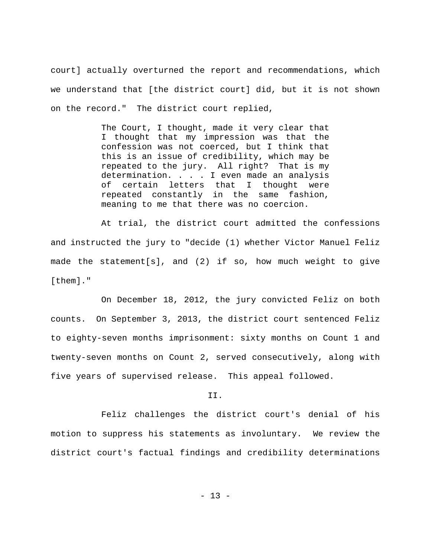court] actually overturned the report and recommendations, which we understand that [the district court] did, but it is not shown on the record."The district court replied,

> The Court, I thought, made it very clear that I thought that my impression was that the confession was not coerced, but I think that this is an issue of credibility, which may be repeated to the jury. All right? That is my determination. . . . I even made an analysis of certain letters that I thought were repeated constantly in the same fashion, meaning to me that there was no coercion.

At trial, the district court admitted the confessions and instructed the jury to "decide (1) whether Victor Manuel Feliz made the statement[s], and (2) if so, how much weight to give [them]."

On December 18, 2012, the jury convicted Feliz on both counts.On September 3, 2013, the district court sentenced Feliz to eighty-seven months imprisonment: sixty months on Count 1 and twenty-seven months on Count 2, served consecutively, along with five years of supervised release. This appeal followed.

II.

Feliz challenges the district court's denial of his motion to suppress his statements as involuntary. We review the district court's factual findings and credibility determinations

- 13 -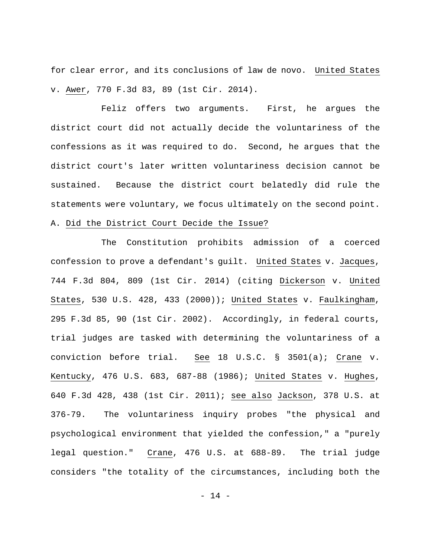for clear error, and its conclusions of law de novo. United States v. Awer, 770 F.3d 83, 89 (1st Cir. 2014).

Feliz offers two arguments. First, he argues the district court did not actually decide the voluntariness of the confessions as it was required to do. Second, he argues that the district court's later written voluntariness decision cannot be sustained. Because the district court belatedly did rule the statements were voluntary, we focus ultimately on the second point. A. Did the District Court Decide the Issue?

The Constitution prohibits admission of a coerced confession to prove a defendant's guilt. United States v. Jacques, 744 F.3d 804, 809 (1st Cir. 2014) (citing Dickerson v. United States, 530 U.S. 428, 433 (2000)); United States v. Faulkingham, 295 F.3d 85, 90 (1st Cir. 2002). Accordingly, in federal courts, trial judges are tasked with determining the voluntariness of a conviction before trial. See 18 U.S.C. § 3501(a); Crane v. Kentucky, 476 U.S. 683, 687-88 (1986); United States v. Hughes, 640 F.3d 428, 438 (1st Cir. 2011); see also Jackson, 378 U.S. at 376-79. The voluntariness inquiry probes "the physical and psychological environment that yielded the confession," a "purely legal question." Crane, 476 U.S. at 688-89. The trial judge considers "the totality of the circumstances, including both the

- 14 -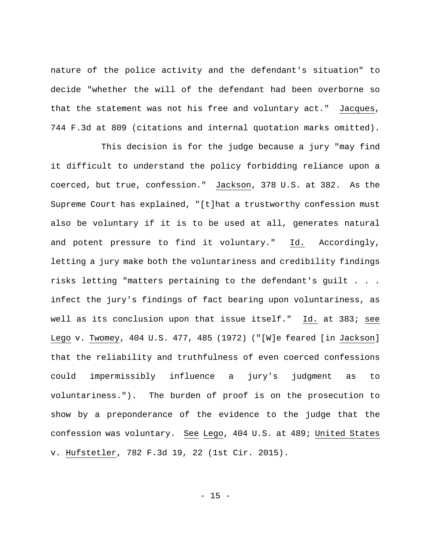nature of the police activity and the defendant's situation" to decide "whether the will of the defendant had been overborne so that the statement was not his free and voluntary act." Jacques, 744 F.3d at 809 (citations and internal quotation marks omitted).

This decision is for the judge because a jury "may find it difficult to understand the policy forbidding reliance upon a coerced, but true, confession." Jackson, 378 U.S. at 382. As the Supreme Court has explained, "[t]hat a trustworthy confession must also be voluntary if it is to be used at all, generates natural and potent pressure to find it voluntary." Id. Accordingly, letting a jury make both the voluntariness and credibility findings risks letting "matters pertaining to the defendant's guilt . . . infect the jury's findings of fact bearing upon voluntariness, as well as its conclusion upon that issue itself." Id. at 383; see Lego v. Twomey, 404 U.S. 477, 485 (1972) ("[W]e feared [in Jackson] that the reliability and truthfulness of even coerced confessions could impermissibly influence a jury's judgment as to voluntariness."). The burden of proof is on the prosecution to show by a preponderance of the evidence to the judge that the confession was voluntary. See Lego, 404 U.S. at 489; United States v. Hufstetler, 782 F.3d 19, 22 (1st Cir. 2015).

- 15 -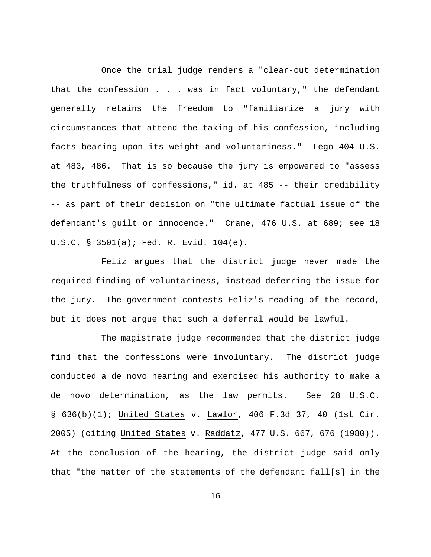Once the trial judge renders a "clear-cut determination that the confession . . . was in fact voluntary," the defendant generally retains the freedom to "familiarize a jury with circumstances that attend the taking of his confession, including facts bearing upon its weight and voluntariness." Lego 404 U.S. at 483, 486. That is so because the jury is empowered to "assess the truthfulness of confessions," id. at 485 -- their credibility -- as part of their decision on "the ultimate factual issue of the defendant's guilt or innocence." Crane, 476 U.S. at 689; see 18 U.S.C. § 3501(a); Fed. R. Evid. 104(e).

Feliz argues that the district judge never made the required finding of voluntariness, instead deferring the issue for the jury. The government contests Feliz's reading of the record, but it does not argue that such a deferral would be lawful.

The magistrate judge recommended that the district judge find that the confessions were involuntary. The district judge conducted a de novo hearing and exercised his authority to make a de novo determination, as the law permits. See 28 U.S.C. § 636(b)(1); United States v. Lawlor, 406 F.3d 37, 40 (1st Cir. 2005) (citing United States v. Raddatz, 477 U.S. 667, 676 (1980)). At the conclusion of the hearing, the district judge said only that "the matter of the statements of the defendant fall[s] in the

- 16 -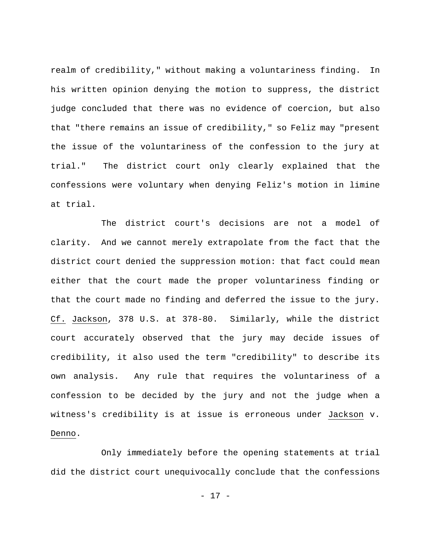realm of credibility," without making a voluntariness finding. In his written opinion denying the motion to suppress, the district judge concluded that there was no evidence of coercion, but also that "there remains an issue of credibility," so Feliz may "present the issue of the voluntariness of the confession to the jury at trial."The district court only clearly explained that the confessions were voluntary when denying Feliz's motion in limine at trial.

The district court's decisions are not a model of clarity. And we cannot merely extrapolate from the fact that the district court denied the suppression motion: that fact could mean either that the court made the proper voluntariness finding or that the court made no finding and deferred the issue to the jury. Cf. Jackson, 378 U.S. at 378-80. Similarly, while the district court accurately observed that the jury may decide issues of credibility, it also used the term "credibility" to describe its own analysis.Any rule that requires the voluntariness of a confession to be decided by the jury and not the judge when a witness's credibility is at issue is erroneous under Jackson v. Denno.

Only immediately before the opening statements at trial did the district court unequivocally conclude that the confessions

- 17 -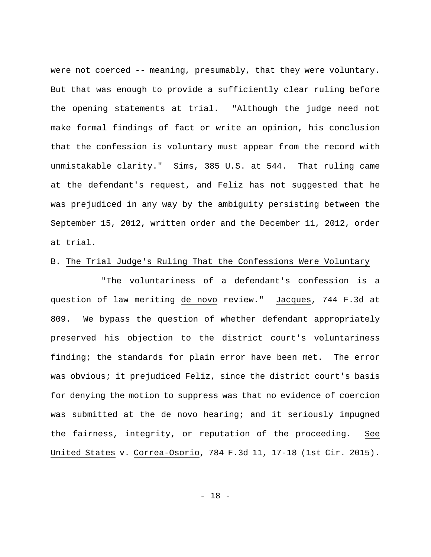were not coerced -- meaning, presumably, that they were voluntary. But that was enough to provide a sufficiently clear ruling before the opening statements at trial. "Although the judge need not make formal findings of fact or write an opinion, his conclusion that the confession is voluntary must appear from the record with unmistakable clarity." Sims, 385 U.S. at 544. That ruling came at the defendant's request, and Feliz has not suggested that he was prejudiced in any way by the ambiguity persisting between the September 15, 2012, written order and the December 11, 2012, order at trial.

### B. The Trial Judge's Ruling That the Confessions Were Voluntary

"The voluntariness of a defendant's confession is a question of law meriting de novo review." Jacques, 744 F.3d at 809. We bypass the question of whether defendant appropriately preserved his objection to the district court's voluntariness finding; the standards for plain error have been met. The error was obvious; it prejudiced Feliz, since the district court's basis for denying the motion to suppress was that no evidence of coercion was submitted at the de novo hearing; and it seriously impugned the fairness, integrity, or reputation of the proceeding. See United States v. Correa-Osorio, 784 F.3d 11, 17-18 (1st Cir. 2015).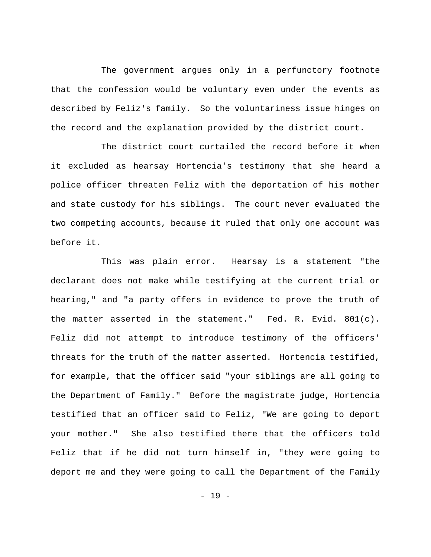The government argues only in a perfunctory footnote that the confession would be voluntary even under the events as described by Feliz's family. So the voluntariness issue hinges on the record and the explanation provided by the district court.

The district court curtailed the record before it when it excluded as hearsay Hortencia's testimony that she heard a police officer threaten Feliz with the deportation of his mother and state custody for his siblings.The court never evaluated the two competing accounts, because it ruled that only one account was before it.

This was plain error. Hearsay is a statement "the declarant does not make while testifying at the current trial or hearing," and "a party offers in evidence to prove the truth of the matter asserted in the statement." Fed. R. Evid. 801(c). Feliz did not attempt to introduce testimony of the officers' threats for the truth of the matter asserted. Hortencia testified, for example, that the officer said "your siblings are all going to the Department of Family." Before the magistrate judge, Hortencia testified that an officer said to Feliz, "We are going to deport your mother." She also testified there that the officers told Feliz that if he did not turn himself in, "they were going to deport me and they were going to call the Department of the Family

- 19 -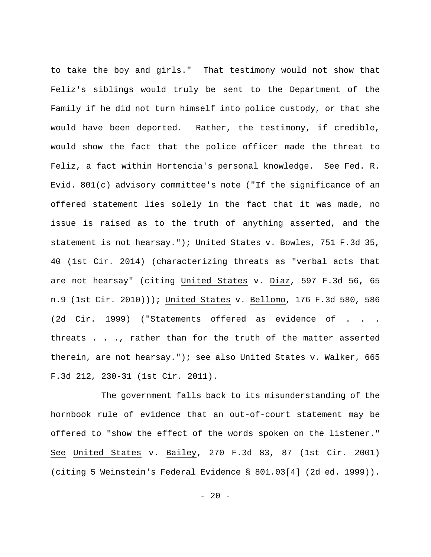to take the boy and girls."That testimony would not show that Feliz's siblings would truly be sent to the Department of the Family if he did not turn himself into police custody, or that she would have been deported. Rather, the testimony, if credible, would show the fact that the police officer made the threat to Feliz, a fact within Hortencia's personal knowledge. See Fed. R. Evid. 801(c) advisory committee's note ("If the significance of an offered statement lies solely in the fact that it was made, no issue is raised as to the truth of anything asserted, and the statement is not hearsay."); United States v. Bowles, 751 F.3d 35, 40 (1st Cir. 2014) (characterizing threats as "verbal acts that are not hearsay" (citing United States v. Diaz, 597 F.3d 56, 65 n.9 (1st Cir. 2010))); United States v. Bellomo, 176 F.3d 580, 586 (2d Cir. 1999) ("Statements offered as evidence of . . . threats . . ., rather than for the truth of the matter asserted therein, are not hearsay."); see also United States v. Walker, 665 F.3d 212, 230-31 (1st Cir. 2011).

The government falls back to its misunderstanding of the hornbook rule of evidence that an out-of-court statement may be offered to "show the effect of the words spoken on the listener." See United States v. Bailey, 270 F.3d 83, 87 (1st Cir. 2001) (citing 5 Weinstein's Federal Evidence § 801.03[4] (2d ed. 1999)).

- 20 -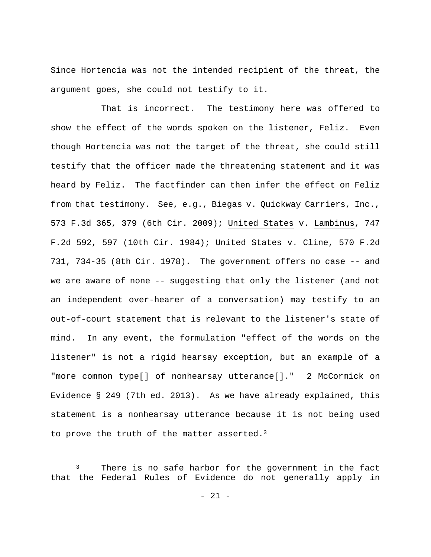Since Hortencia was not the intended recipient of the threat, the argument goes, she could not testify to it.

That is incorrect. The testimony here was offered to show the effect of the words spoken on the listener, Feliz. Even though Hortencia was not the target of the threat, she could still testify that the officer made the threatening statement and it was heard by Feliz. The factfinder can then infer the effect on Feliz from that testimony. See, e.g., Biegas v. Quickway Carriers, Inc., 573 F.3d 365, 379 (6th Cir. 2009); United States v. Lambinus, 747 F.2d 592, 597 (10th Cir. 1984); United States v. Cline, 570 F.2d 731, 734-35 (8th Cir. 1978). The government offers no case -- and we are aware of none -- suggesting that only the listener (and not an independent over-hearer of a conversation) may testify to an out-of-court statement that is relevant to the listener's state of mind. In any event, the formulation "effect of the words on the listener" is not a rigid hearsay exception, but an example of a "more common type[] of nonhearsay utterance[]." 2 McCormick on Evidence § 249 (7th ed. 2013). As we have already explained, this statement is a nonhearsay utterance because it is not being used to prove the truth of the matter asserted.<sup>3</sup>

<sup>&</sup>lt;sup>3</sup> There is no safe harbor for the government in the fact that the Federal Rules of Evidence do not generally apply in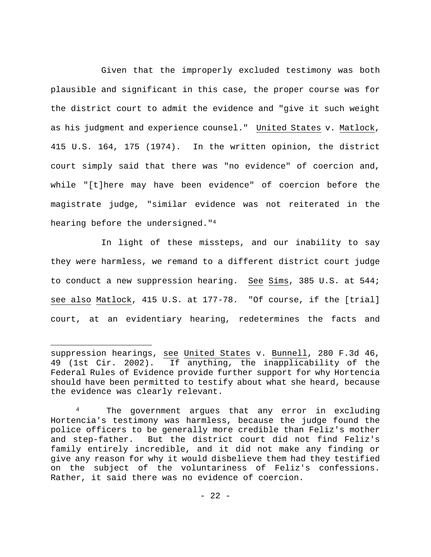Given that the improperly excluded testimony was both plausible and significant in this case, the proper course was for the district court to admit the evidence and "give it such weight as his judgment and experience counsel." United States v. Matlock, 415 U.S. 164, 175 (1974). In the written opinion, the district court simply said that there was "no evidence" of coercion and, while "[t]here may have been evidence" of coercion before the magistrate judge, "similar evidence was not reiterated in the hearing before the undersigned."4

In light of these missteps, and our inability to say they were harmless, we remand to a different district court judge to conduct a new suppression hearing. See Sims, 385 U.S. at 544; see also Matlock, 415 U.S. at 177-78. "Of course, if the [trial] court, at an evidentiary hearing, redetermines the facts and

suppression hearings, see United States v. Bunnell, 280 F.3d 46, 49 (1st Cir. 2002). If anything, the inapplicability of the Federal Rules of Evidence provide further support for why Hortencia should have been permitted to testify about what she heard, because the evidence was clearly relevant.

<sup>&</sup>lt;sup>4</sup> The government argues that any error in excluding Hortencia's testimony was harmless, because the judge found the police officers to be generally more credible than Feliz's mother and step-father.But the district court did not find Feliz's family entirely incredible, and it did not make any finding or give any reason for why it would disbelieve them had they testified on the subject of the voluntariness of Feliz's confessions. Rather, it said there was no evidence of coercion.